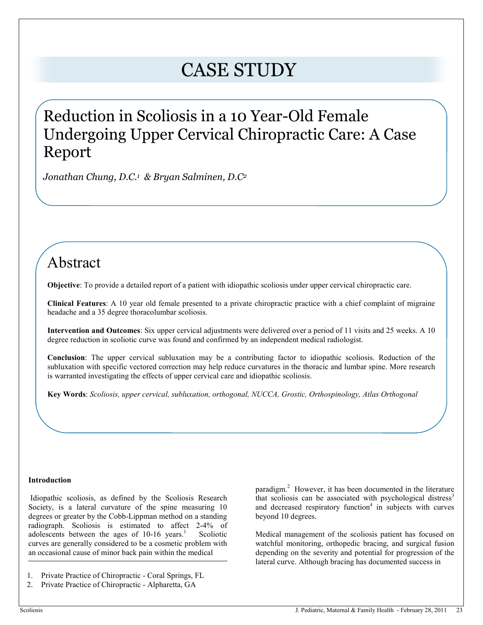# CASE STUDY

# Reduction in Scoliosis in a 10 Year-Old Female Undergoing Upper Cervical Chiropractic Care: A Case Report

*Jonathan Chung, D.C.<sup>1</sup> & Bryan Salminen, D.C<sup>2</sup>* 

# Abstract

**Objective**: To provide a detailed report of a patient with idiopathic scoliosis under upper cervical chiropractic care.

**Clinical Features**: A 10 year old female presented to a private chiropractic practice with a chief complaint of migraine headache and a 35 degree thoracolumbar scoliosis.

**Intervention and Outcomes**: Six upper cervical adjustments were delivered over a period of 11 visits and 25 weeks. A 10 degree reduction in scoliotic curve was found and confirmed by an independent medical radiologist.

**Conclusion**: The upper cervical subluxation may be a contributing factor to idiopathic scoliosis. Reduction of the subluxation with specific vectored correction may help reduce curvatures in the thoracic and lumbar spine. More research is warranted investigating the effects of upper cervical care and idiopathic scoliosis.

**Key Words**: *Scoliosis, upper cervical, subluxation, orthogonal, NUCCA, Grostic, Orthospinology, Atlas Orthogonal*

#### **Introduction**

 Idiopathic scoliosis, as defined by the Scoliosis Research Society, is a lateral curvature of the spine measuring 10 degrees or greater by the Cobb-Lippman method on a standing radiograph. Scoliosis is estimated to affect 2-4% of adolescents between the ages of 10-16 years.<sup>1</sup> Scoliotic curves are generally considered to be a cosmetic problem with an occasional cause of minor back pain within the medical

paradigm.<sup>2</sup> However, it has been documented in the literature that scoliosis can be associated with psychological distress<sup>3</sup> and decreased respiratory function<sup>4</sup> in subjects with curves beyond 10 degrees.

Medical management of the scoliosis patient has focused on watchful monitoring, orthopedic bracing, and surgical fusion depending on the severity and potential for progression of the lateral curve. Although bracing has documented success in

<sup>1.</sup> Private Practice of Chiropractic - Coral Springs, FL

<sup>2.</sup> Private Practice of Chiropractic - Alpharetta, GA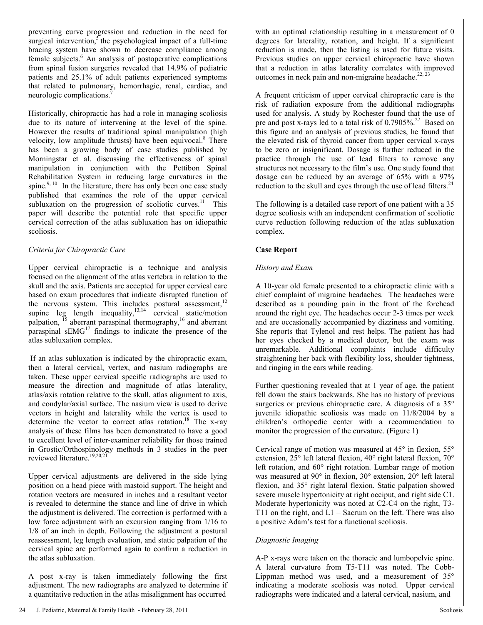preventing curve progression and reduction in the need for surgical intervention,<sup>5</sup> the psychological impact of a full-time bracing system have shown to decrease compliance among female subjects.<sup>6</sup> An analysis of postoperative complications from spinal fusion surgeries revealed that 14.9% of pediatric patients and 25.1% of adult patients experienced symptoms that related to pulmonary, hemorrhagic, renal, cardiac, and neurologic complications.<sup>7</sup>

Historically, chiropractic has had a role in managing scoliosis due to its nature of intervening at the level of the spine. However the results of traditional spinal manipulation (high velocity, low amplitude thrusts) have been equivocal.<sup>8</sup> There has been a growing body of case studies published by Morningstar et al. discussing the effectiveness of spinal manipulation in conjunction with the Pettibon Spinal Rehabilitation System in reducing large curvatures in the spine. $9, 10$  In the literature, there has only been one case study published that examines the role of the upper cervical subluxation on the progression of scoliotic curves. $11$  This paper will describe the potential role that specific upper cervical correction of the atlas subluxation has on idiopathic scoliosis.

#### *Criteria for Chiropractic Care*

Upper cervical chiropractic is a technique and analysis focused on the alignment of the atlas vertebra in relation to the skull and the axis. Patients are accepted for upper cervical care based on exam procedures that indicate disrupted function of the nervous system. This includes postural assessment,<sup>12</sup> supine leg length inequality, $13,14$  cervical static/motion palpation, <sup>15</sup> aberrant paraspinal thermography,<sup>16</sup> and aberrant paraspinal  $sEMG<sup>17</sup>$  findings to indicate the presence of the atlas subluxation complex.

 If an atlas subluxation is indicated by the chiropractic exam, then a lateral cervical, vertex, and nasium radiographs are taken. These upper cervical specific radiographs are used to measure the direction and magnitude of atlas laterality, atlas/axis rotation relative to the skull, atlas alignment to axis, and condylar/axial surface. The nasium view is used to derive vectors in height and laterality while the vertex is used to determine the vector to correct atlas rotation.<sup>18</sup> The x-ray analysis of these films has been demonstrated to have a good to excellent level of inter-examiner reliability for those trained in Grostic/Orthospinology methods in 3 studies in the peer reviewed literature.19,20,21

Upper cervical adjustments are delivered in the side lying position on a head piece with mastoid support. The height and rotation vectors are measured in inches and a resultant vector is revealed to determine the stance and line of drive in which the adjustment is delivered. The correction is performed with a low force adjustment with an excursion ranging from 1/16 to 1/8 of an inch in depth. Following the adjustment a postural reassessment, leg length evaluation, and static palpation of the cervical spine are performed again to confirm a reduction in the atlas subluxation.

A post x-ray is taken immediately following the first adjustment. The new radiographs are analyzed to determine if a quantitative reduction in the atlas misalignment has occurred

with an optimal relationship resulting in a measurement of 0 degrees for laterality, rotation, and height. If a significant reduction is made, then the listing is used for future visits. Previous studies on upper cervical chiropractic have shown that a reduction in atlas laterality correlates with improved outcomes in neck pain and non-migraine headache.<sup>22, 23</sup>

A frequent criticism of upper cervical chiropractic care is the risk of radiation exposure from the additional radiographs used for analysis. A study by Rochester found that the use of pre and post x-rays led to a total risk of  $0.7905\%$ <sup>22</sup> Based on this figure and an analysis of previous studies, he found that the elevated risk of thyroid cancer from upper cervical x-rays to be zero or insignificant. Dosage is further reduced in the practice through the use of lead filters to remove any structures not necessary to the film's use. One study found that dosage can be reduced by an average of 65% with a 97% reduction to the skull and eyes through the use of lead filters.<sup>24</sup>

The following is a detailed case report of one patient with a 35 degree scoliosis with an independent confirmation of scoliotic curve reduction following reduction of the atlas subluxation complex.

# **Case Report**

# *History and Exam*

A 10-year old female presented to a chiropractic clinic with a chief complaint of migraine headaches. The headaches were described as a pounding pain in the front of the forehead around the right eye. The headaches occur 2-3 times per week and are occasionally accompanied by dizziness and vomiting. She reports that Tylenol and rest helps. The patient has had her eyes checked by a medical doctor, but the exam was unremarkable. Additional complaints include difficulty straightening her back with flexibility loss, shoulder tightness, and ringing in the ears while reading.

Further questioning revealed that at 1 year of age, the patient fell down the stairs backwards. She has no history of previous surgeries or previous chiropractic care. A diagnosis of a 35° juvenile idiopathic scoliosis was made on 11/8/2004 by a children's orthopedic center with a recommendation to monitor the progression of the curvature. (Figure 1)

Cervical range of motion was measured at 45° in flexion, 55° extension, 25° left lateral flexion, 40° right lateral flexion, 70° left rotation, and 60° right rotation. Lumbar range of motion was measured at 90° in flexion, 30° extension, 20° left lateral flexion, and 35° right lateral flexion. Static palpation showed severe muscle hypertonicity at right occiput, and right side C1. Moderate hypertonicity was noted at C2-C4 on the right, T3- T11 on the right, and L1 – Sacrum on the left. There was also a positive Adam's test for a functional scoliosis.

#### *Diagnostic Imaging*

A-P x-rays were taken on the thoracic and lumbopelvic spine. A lateral curvature from T5-T11 was noted. The Cobb-Lippman method was used, and a measurement of 35° indicating a moderate scoliosis was noted. Upper cervical radiographs were indicated and a lateral cervical, nasium, and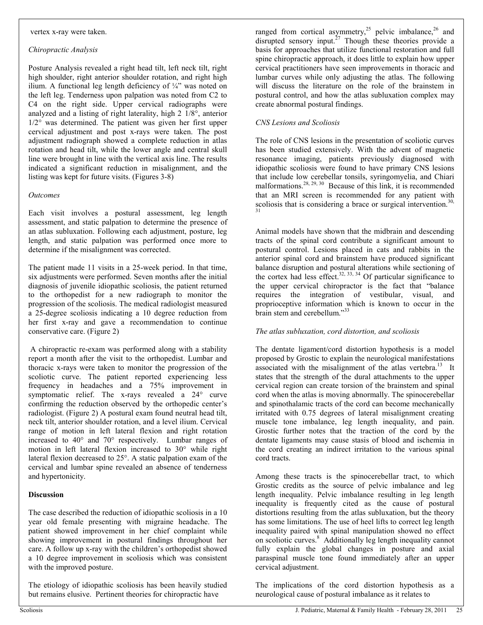#### vertex x-ray were taken.

#### *Chiropractic Analysis*

Posture Analysis revealed a right head tilt, left neck tilt, right high shoulder, right anterior shoulder rotation, and right high ilium. A functional leg length deficiency of ¼" was noted on the left leg. Tenderness upon palpation was noted from C2 to C4 on the right side. Upper cervical radiographs were analyzed and a listing of right laterality, high 2 1/8°, anterior  $1/2^{\circ}$  was determined. The patient was given her first upper cervical adjustment and post x-rays were taken. The post adjustment radiograph showed a complete reduction in atlas rotation and head tilt, while the lower angle and central skull line were brought in line with the vertical axis line. The results indicated a significant reduction in misalignment, and the listing was kept for future visits. (Figures 3-8)

#### *Outcomes*

Each visit involves a postural assessment, leg length assessment, and static palpation to determine the presence of an atlas subluxation. Following each adjustment, posture, leg length, and static palpation was performed once more to determine if the misalignment was corrected.

The patient made 11 visits in a 25-week period. In that time, six adjustments were performed. Seven months after the initial diagnosis of juvenile idiopathic scoliosis, the patient returned to the orthopedist for a new radiograph to monitor the progression of the scoliosis. The medical radiologist measured a 25-degree scoliosis indicating a 10 degree reduction from her first x-ray and gave a recommendation to continue conservative care. (Figure 2)

 A chiropractic re-exam was performed along with a stability report a month after the visit to the orthopedist. Lumbar and thoracic x-rays were taken to monitor the progression of the scoliotic curve. The patient reported experiencing less frequency in headaches and a 75% improvement in symptomatic relief. The x-rays revealed a 24° curve confirming the reduction observed by the orthopedic center's radiologist. (Figure 2) A postural exam found neutral head tilt, neck tilt, anterior shoulder rotation, and a level ilium. Cervical range of motion in left lateral flexion and right rotation increased to 40° and 70° respectively. Lumbar ranges of motion in left lateral flexion increased to 30° while right lateral flexion decreased to 25°. A static palpation exam of the cervical and lumbar spine revealed an absence of tenderness and hypertonicity.

# **Discussion**

The case described the reduction of idiopathic scoliosis in a 10 year old female presenting with migraine headache. The patient showed improvement in her chief complaint while showing improvement in postural findings throughout her care. A follow up x-ray with the children's orthopedist showed a 10 degree improvement in scoliosis which was consistent with the improved posture.

The etiology of idiopathic scoliosis has been heavily studied but remains elusive. Pertinent theories for chiropractic have

ranged from cortical asymmetry,<sup>25</sup> pelvic imbalance,<sup>26</sup> and disrupted sensory input.<sup>27</sup> Though these theories provide a basis for approaches that utilize functional restoration and full spine chiropractic approach, it does little to explain how upper cervical practitioners have seen improvements in thoracic and lumbar curves while only adjusting the atlas. The following will discuss the literature on the role of the brainstem in postural control, and how the atlas subluxation complex may create abnormal postural findings.

#### *CNS Lesions and Scoliosis*

The role of CNS lesions in the presentation of scoliotic curves has been studied extensively. With the advent of magnetic resonance imaging, patients previously diagnosed with idiopathic scoliosis were found to have primary CNS lesions that include low cerebellar tonsils, syringomyelia, and Chiari malformations.<sup>28, 29, 30</sup> Because of this link, it is recommended that an MRI screen is recommended for any patient with scoliosis that is considering a brace or surgical intervention.<sup>30,</sup> 31

Animal models have shown that the midbrain and descending tracts of the spinal cord contribute a significant amount to postural control. Lesions placed in cats and rabbits in the anterior spinal cord and brainstem have produced significant balance disruption and postural alterations while sectioning of the cortex had less effect.<sup>32, 33, 34</sup> Of particular significance to the upper cervical chiropractor is the fact that "balance requires the integration of vestibular, visual, and proprioceptive information which is known to occur in the brain stem and cerebellum."33

#### *The atlas subluxation, cord distortion, and scoliosis*

The dentate ligament/cord distortion hypothesis is a model proposed by Grostic to explain the neurological manifestations associated with the misalignment of the atlas vertebra.<sup>13</sup> It states that the strength of the dural attachments to the upper cervical region can create torsion of the brainstem and spinal cord when the atlas is moving abnormally. The spinocerebellar and spinothalamic tracts of the cord can become mechanically irritated with 0.75 degrees of lateral misalignment creating muscle tone imbalance, leg length inequality, and pain. Grostic further notes that the traction of the cord by the dentate ligaments may cause stasis of blood and ischemia in the cord creating an indirect irritation to the various spinal cord tracts.

Among these tracts is the spinocerebellar tract, to which Grostic credits as the source of pelvic imbalance and leg length inequality. Pelvic imbalance resulting in leg length inequality is frequently cited as the cause of postural distortions resulting from the atlas subluxation, but the theory has some limitations. The use of heel lifts to correct leg length inequality paired with spinal manipulation showed no effect on scoliotic curves.<sup>8</sup> Additionally leg length inequality cannot fully explain the global changes in posture and axial paraspinal muscle tone found immediately after an upper cervical adjustment.

The implications of the cord distortion hypothesis as a neurological cause of postural imbalance as it relates to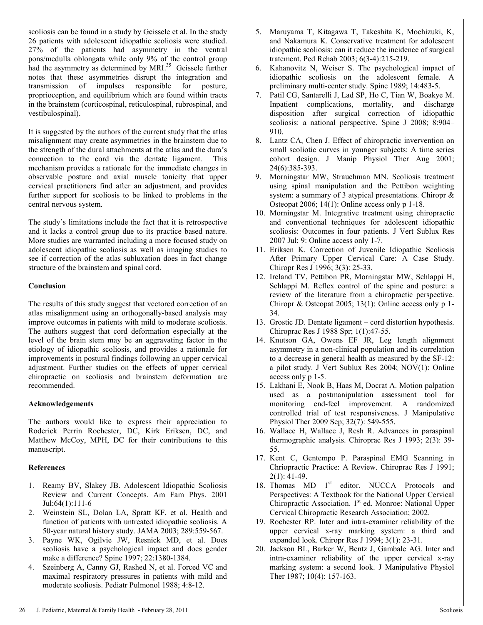scoliosis can be found in a study by Geissele et al. In the study 26 patients with adolescent idiopathic scoliosis were studied. 27% of the patients had asymmetry in the ventral pons/medulla oblongata while only 9% of the control group had the asymmetry as determined by MRI.<sup>35</sup> Geissele further notes that these asymmetries disrupt the integration and transmission of impulses responsible for posture, proprioception, and equilibrium which are found within tracts in the brainstem (corticospinal, reticulospinal, rubrospinal, and vestibulospinal).

It is suggested by the authors of the current study that the atlas misalignment may create asymmetries in the brainstem due to the strength of the dural attachments at the atlas and the dura's connection to the cord via the dentate ligament. This mechanism provides a rationale for the immediate changes in observable posture and axial muscle tonicity that upper cervical practitioners find after an adjustment, and provides further support for scoliosis to be linked to problems in the central nervous system.

The study's limitations include the fact that it is retrospective and it lacks a control group due to its practice based nature. More studies are warranted including a more focused study on adolescent idiopathic scoliosis as well as imaging studies to see if correction of the atlas subluxation does in fact change structure of the brainstem and spinal cord.

# **Conclusion**

The results of this study suggest that vectored correction of an atlas misalignment using an orthogonally-based analysis may improve outcomes in patients with mild to moderate scoliosis. The authors suggest that cord deformation especially at the level of the brain stem may be an aggravating factor in the etiology of idiopathic scoliosis, and provides a rationale for improvements in postural findings following an upper cervical adjustment. Further studies on the effects of upper cervical chiropractic on scoliosis and brainstem deformation are recommended.

# **Acknowledgements**

The authors would like to express their appreciation to Roderick Perrin Rochester, DC, Kirk Eriksen, DC, and Matthew McCoy, MPH, DC for their contributions to this manuscript.

# **References**

- 1. Reamy BV, Slakey JB. Adolescent Idiopathic Scoliosis Review and Current Concepts. Am Fam Phys. 2001 Jul;64(1):111-6
- 2. Weinstein SL, Dolan LA, Spratt KF, et al. Health and function of patients with untreated idiopathic scoliosis. A 50-year natural history study. JAMA 2003; 289:559-567.
- 3. Payne WK, Ogilvie JW, Resnick MD, et al. Does scoliosis have a psychological impact and does gender make a difference? Spine 1997; 22:1380-1384.
- 4. Szeinberg A, Canny GJ, Rashed N, et al. Forced VC and maximal respiratory pressures in patients with mild and moderate scoliosis. Pediatr Pulmonol 1988; 4:8-12.
- 5. Maruyama T, Kitagawa T, Takeshita K, Mochizuki, K, and Nakamura K. Conservative treatment for adolescent idiopathic scoliosis: can it reduce the incidence of surgical tratement. Ped Rehab 2003; 6(3-4):215-219.
- 6. Kahanovitz N, Weiser S. The psychological impact of idiopathic scoliosis on the adolescent female. A preliminary multi-center study. Spine 1989; 14:483-5.
- 7. Patil CG, Santarelli J, Lad SP, Ho C, Tian W, Boakye M. Inpatient complications, mortality, and discharge disposition after surgical correction of idiopathic scoliosis: a national perspective. Spine J 2008; 8:904– 910.
- 8. Lantz CA, Chen J. Effect of chiropractic invervention on small scoliotic curves in younger subjects: A time series cohort design. J Manip Physiol Ther Aug 2001; 24(6):385-393.
- 9. Morningstar MW, Strauchman MN. Scoliosis treatment using spinal manipulation and the Pettibon weighting system: a summary of 3 atypical presentations. Chiropr & Osteopat 2006; 14(1): Online access only p 1-18.
- 10. Morningstar M. Integrative treatment using chiropractic and conventional techniques for adolescent idiopathic scoliosis: Outcomes in four patients. J Vert Sublux Res 2007 Jul; 9: Online access only 1-7.
- 11. Eriksen K. Correction of Juvenile Idiopathic Scoliosis After Primary Upper Cervical Care: A Case Study. Chiropr Res J 1996; 3(3): 25-33.
- 12. Ireland TV, Pettibon PR, Morningstar MW, Schlappi H, Schlappi M. Reflex control of the spine and posture: a review of the literature from a chiropractic perspective. Chiropr & Osteopat 2005; 13(1): Online access only p 1- 34.
- 13. Grostic JD. Dentate ligament cord distortion hypothesis. Chiroprac Res J 1988 Spr; 1(1):47-55.
- 14. Knutson GA, Owens EF JR, Leg length alignment asymmetry in a non-clinical population and its correlation to a decrease in general health as measured by the SF-12: a pilot study. J Vert Sublux Res 2004; NOV(1): Online access only p 1-5.
- 15. Lakhani E, Nook B, Haas M, Docrat A. Motion palpation used as a postmanipulation assessment tool for monitoring end-feel improvement. A randomized controlled trial of test responsiveness. J Manipulative Physiol Ther 2009 Sep; 32(7): 549-555.
- 16. Wallace H, Wallace J, Resh R. Advances in paraspinal thermographic analysis. Chiroprac Res J 1993; 2(3): 39- 55.
- 17. Kent C, Gentempo P. Paraspinal EMG Scanning in Chriopractic Practice: A Review. Chiroprac Res J 1991;  $2(1)$ : 41-49.
- 18. Thomas MD 1<sup>st</sup> editor. NUCCA Protocols and Perspectives: A Textbook for the National Upper Cervical Chiropractic Association. 1<sup>st</sup> ed. Monroe: National Upper Cervical Chiropractic Research Association; 2002.
- 19. Rochester RP. Inter and intra-examiner reliability of the upper cervical x-ray marking system: a third and expanded look. Chiropr Res J 1994; 3(1): 23-31.
- 20. Jackson BL, Barker W, Bentz J, Gambale AG. Inter and intra-examiner reliability of the upper cervical x-ray marking system: a second look. J Manipulative Physiol Ther 1987; 10(4): 157-163.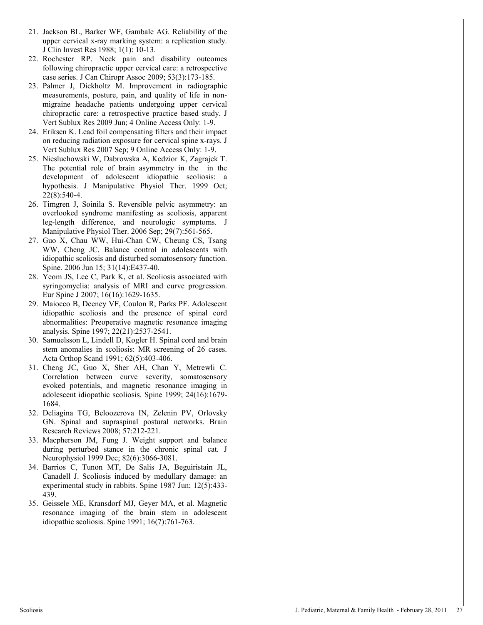- 21. Jackson BL, Barker WF, Gambale AG. Reliability of the upper cervical x-ray marking system: a replication study. J Clin Invest Res 1988; 1(1): 10-13.
- 22. Rochester RP. Neck pain and disability outcomes following chiropractic upper cervical care: a retrospective case series. J Can Chiropr Assoc 2009; 53(3):173-185.
- 23. Palmer J, Dickholtz M. Improvement in radiographic measurements, posture, pain, and quality of life in nonmigraine headache patients undergoing upper cervical chiropractic care: a retrospective practice based study. J Vert Sublux Res 2009 Jun; 4 Online Access Only: 1-9.
- 24. Eriksen K. Lead foil compensating filters and their impact on reducing radiation exposure for cervical spine x-rays. J Vert Sublux Res 2007 Sep; 9 Online Access Only: 1-9.
- 25. Niesluchowski W, Dabrowska A, Kedzior K, Zagrajek T. The potential role of brain asymmetry in the in the development of adolescent idiopathic scoliosis: a hypothesis. J Manipulative Physiol Ther. 1999 Oct; 22(8):540-4.
- 26. Timgren J, Soinila S. Reversible pelvic asymmetry: an overlooked syndrome manifesting as scoliosis, apparent leg-length difference, and neurologic symptoms. J Manipulative Physiol Ther. 2006 Sep; 29(7):561-565.
- 27. Guo X, Chau WW, Hui-Chan CW, Cheung CS, Tsang WW, Cheng JC. Balance control in adolescents with idiopathic scoliosis and disturbed somatosensory function. Spine. 2006 Jun 15; 31(14):E437-40.
- 28. Yeom JS, Lee C, Park K, et al. Scoliosis associated with syringomyelia: analysis of MRI and curve progression. Eur Spine J 2007; 16(16):1629-1635.
- 29. Maiocco B, Deeney VF, Coulon R, Parks PF. Adolescent idiopathic scoliosis and the presence of spinal cord abnormalities: Preoperative magnetic resonance imaging analysis. Spine 1997; 22(21):2537-2541.
- 30. Samuelsson L, Lindell D, Kogler H. Spinal cord and brain stem anomalies in scoliosis: MR screening of 26 cases. Acta Orthop Scand 1991; 62(5):403-406.
- 31. Cheng JC, Guo X, Sher AH, Chan Y, Metrewli C. Correlation between curve severity, somatosensory evoked potentials, and magnetic resonance imaging in adolescent idiopathic scoliosis. Spine 1999; 24(16):1679- 1684.
- 32. Deliagina TG, Beloozerova IN, Zelenin PV, Orlovsky GN. Spinal and supraspinal postural networks. Brain Research Reviews 2008; 57:212-221.
- 33. Macpherson JM, Fung J. Weight support and balance during perturbed stance in the chronic spinal cat. J Neurophysiol 1999 Dec; 82(6):3066-3081.
- 34. Barrios C, Tunon MT, De Salis JA, Beguiristain JL, Canadell J. Scoliosis induced by medullary damage: an experimental study in rabbits. Spine 1987 Jun; 12(5):433- 439.
- 35. Geissele ME, Kransdorf MJ, Geyer MA, et al. Magnetic resonance imaging of the brain stem in adolescent idiopathic scoliosis. Spine 1991; 16(7):761-763.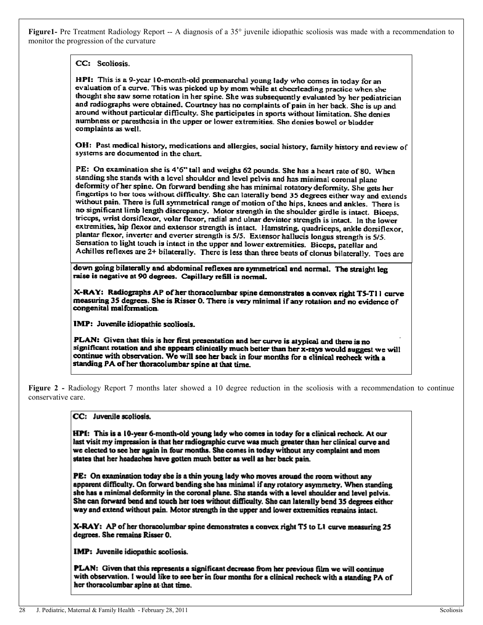**Figure1-** Pre Treatment Radiology Report -- A diagnosis of a 35° juvenile idiopathic scoliosis was made with a recommendation to monitor the progression of the curvature

CC: Scoliosis.

HPI: This is a 9-year 10-month-old premenarchal young lady who comes in today for an evaluation of a curve. This was picked up by mom while at cheerleading practice when she thought she saw some rotation in her spine. She was subsequently evaluated by her pediatrician and radiographs were obtained. Courtney has no complaints of pain in her back. She is up and around without particular difficulty. She participates in sports without limitation. She denies numbness or paresthosia in the upper or lower extremities. She denies bowel or bladder complaints as well.

OH: Past medical history, medications and allergies, social history, family history and review of systems are documented in the chart.

PE: On examination she is 4'6" tall and weighs 62 pounds. She has a heart rate of 80. When standing she stands with a level shoulder and level pelvis and has minimal coronal plane deformity of her spine. On forward bending she has minimal rotatory deformity. She gets her fingertips to her toes without difficulty. She can laterally bend 35 degrees either way and extends without pain. There is full symmetrical range of motion of the hips, knees and ankles. There is no significant limb length discrepancy. Motor strength in the shoulder girdle is intact. Biceps. triceps, wrist dorsiflexor, volar flexor, radial and ulnar deviator strength is intact. In the lower extremities, hip flexor and extensor strength is intact. Hamstring, quadriceps, ankle dorsiflexor, plantar flexor, inverter and everter strength is 5/5. Extensor hallucis longus strength is 5/5. Sensation to light touch is intact in the upper and lower extremities. Biceps, patellar and Achilles reflexes are 2+ bilaterally. There is less than three beats of clonus bilaterally. Toes are

down going bilaterally and abdominal reflexes are symmetrical and normal. The straight leg raise is negative at 90 degrees. Capillary refill is normal.

X-RAY: Radiographs AP of her thoracolumbar spine demonstrates a convex right T5-T11 curve measuring 35 degrees. She is Risser 0. There is very minimal if any rotation and no evidence of congenital malformation.

IMP: Juvenile idiopathic scoliosis.

PLAN: Given that this is her first presentation and her curve is atypical and there is no significant rotation and she appears clinically much better than her x-rays would suggest we will continue with observation. We will see her back in four months for a clinical recheck with a standing PA of her thoracolumbar spine at that time.

Figure 2 - Radiology Report 7 months later showed a 10 degree reduction in the scoliosis with a recommendation to continue conservative care.

CC: Juvenile scoliosis.

HPI: This is a 10-year 6-month-old young lady who comes in today for a clinical recheck. At our last visit my impression is that her radiographic curve was much greater than her clinical curve and we elected to see her again in four months. She comes in today without any complaint and mom states that her headaches have gotten much better as well as her back pain.

PE: On examination today she is a thin young lady who moves around the room without any apparent difficulty. On forward bending she has minimal if any rotatory asymmetry. When standing she has a minimal deformity in the coronal plane. She stands with a level shoulder and level pelvis. She can forward bend and touch her toes without difficulty. She can laterally bend 35 degrees either way and extend without pain. Motor strength in the upper and lower extremities remains intact.

X-RAY: AP of her thoracolumbar spine demonstrates a convex right T5 to L1 curve measuring 25 degrees. She remains Risser 0.

IMP: Juvenile idiopathic scoliosis.

PLAN: Given that this represents a significant decrease from her previous film we will continue with observation. I would like to see her in four months for a clinical recheck with a standing PA of her thoracolumbar spine at that time.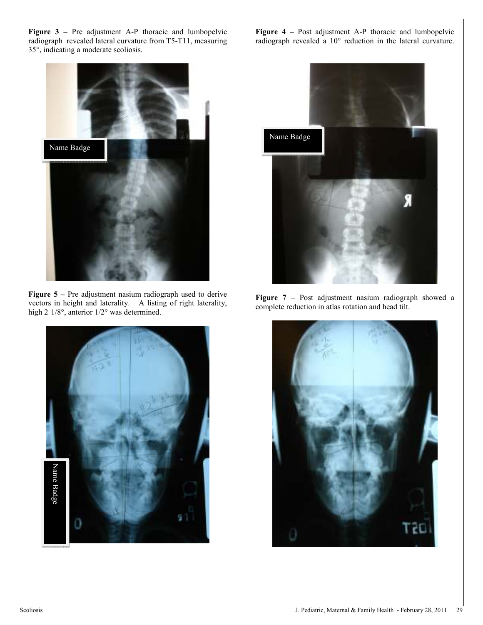**Figure 3 –** Pre adjustment A-P thoracic and lumbopelvic radiograph revealed lateral curvature from T5-T11, measuring 35°, indicating a moderate scoliosis.



**Figure 5** – Pre adjustment nasium radiograph used to derive vectors in height and laterality. A listing of right laterality, high 2  $1/8^\circ$ , anterior  $1/2^\circ$  was determined.



**Figure 4 –** Post adjustment A-P thoracic and lumbopelvic radiograph revealed a 10° reduction in the lateral curvature.



Figure 7 – Post adjustment nasium radiograph showed a complete reduction in atlas rotation and head tilt.